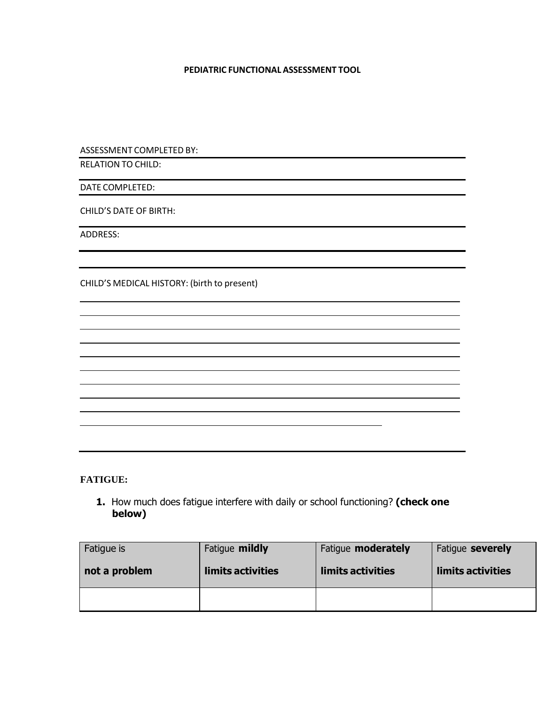#### **PEDIATRIC FUNCTIONAL ASSESSMENT TOOL**

ASSESSMENT COMPLETED BY:

RELATION TO CHILD:

DATE COMPLETED:

CHILD'S DATE OF BIRTH:

ADDRESS:

CHILD'S MEDICAL HISTORY: (birth to present)

#### **FATIGUE:**

**1.** How much does fatigue interfere with daily or school functioning? **(check one below)**

| Fatigue is    | Fatigue mildly    | Fatigue <b>moderately</b> | Fatigue <b>severely</b> |
|---------------|-------------------|---------------------------|-------------------------|
| not a problem | limits activities | limits activities         | limits activities       |
|               |                   |                           |                         |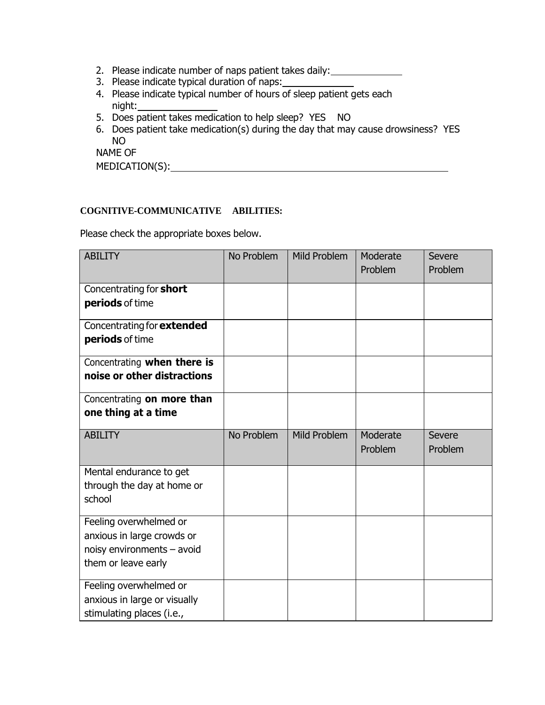- 2. Please indicate number of naps patient takes daily:
- 3. Please indicate typical duration of naps:
- 4. Please indicate typical number of hours of sleep patient gets each night:
- 5. Does patient takes medication to help sleep? YES NO
- 6. Does patient take medication(s) during the day that may cause drowsiness? YES NO

NAME OF

| MEDICATION(S): |  |
|----------------|--|
|----------------|--|

#### **COGNITIVE-COMMUNICATIVE ABILITIES:**

| <b>ABILITY</b>                                                                                            | No Problem | <b>Mild Problem</b> | Moderate<br>Problem | Severe<br>Problem |
|-----------------------------------------------------------------------------------------------------------|------------|---------------------|---------------------|-------------------|
| Concentrating for short<br>periods of time                                                                |            |                     |                     |                   |
| Concentrating for extended<br>periods of time                                                             |            |                     |                     |                   |
| Concentrating when there is<br>noise or other distractions                                                |            |                     |                     |                   |
| Concentrating on more than<br>one thing at a time                                                         |            |                     |                     |                   |
| <b>ABILITY</b>                                                                                            | No Problem | <b>Mild Problem</b> | Moderate<br>Problem | Severe<br>Problem |
| Mental endurance to get<br>through the day at home or<br>school                                           |            |                     |                     |                   |
| Feeling overwhelmed or<br>anxious in large crowds or<br>noisy environments - avoid<br>them or leave early |            |                     |                     |                   |
| Feeling overwhelmed or<br>anxious in large or visually<br>stimulating places (i.e.,                       |            |                     |                     |                   |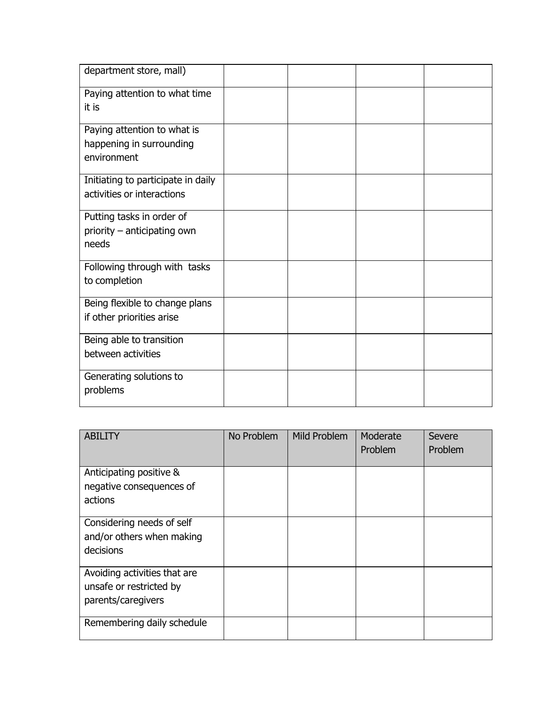| department store, mall)            |  |  |
|------------------------------------|--|--|
| Paying attention to what time      |  |  |
| it is                              |  |  |
| Paying attention to what is        |  |  |
| happening in surrounding           |  |  |
| environment                        |  |  |
| Initiating to participate in daily |  |  |
| activities or interactions         |  |  |
| Putting tasks in order of          |  |  |
| priority – anticipating own        |  |  |
| needs                              |  |  |
| Following through with tasks       |  |  |
| to completion                      |  |  |
| Being flexible to change plans     |  |  |
| if other priorities arise          |  |  |
| Being able to transition           |  |  |
| between activities                 |  |  |
| Generating solutions to            |  |  |
| problems                           |  |  |

| <b>ABILITY</b>               | No Problem | Mild Problem | Moderate<br>Problem | Severe<br>Problem |
|------------------------------|------------|--------------|---------------------|-------------------|
| Anticipating positive &      |            |              |                     |                   |
| negative consequences of     |            |              |                     |                   |
| actions                      |            |              |                     |                   |
| Considering needs of self    |            |              |                     |                   |
| and/or others when making    |            |              |                     |                   |
| decisions                    |            |              |                     |                   |
| Avoiding activities that are |            |              |                     |                   |
| unsafe or restricted by      |            |              |                     |                   |
| parents/caregivers           |            |              |                     |                   |
| Remembering daily schedule   |            |              |                     |                   |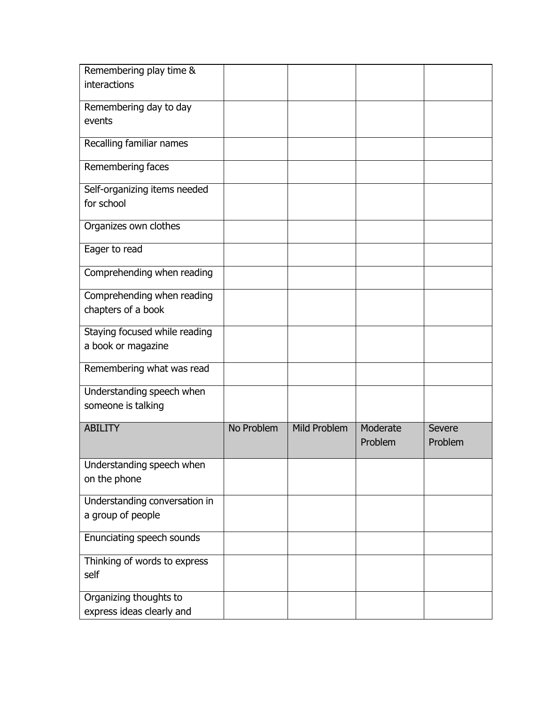| Remembering play time &                             |            |                     |                     |                   |
|-----------------------------------------------------|------------|---------------------|---------------------|-------------------|
| interactions                                        |            |                     |                     |                   |
| Remembering day to day                              |            |                     |                     |                   |
| events                                              |            |                     |                     |                   |
| Recalling familiar names                            |            |                     |                     |                   |
| Remembering faces                                   |            |                     |                     |                   |
| Self-organizing items needed<br>for school          |            |                     |                     |                   |
| Organizes own clothes                               |            |                     |                     |                   |
| Eager to read                                       |            |                     |                     |                   |
| Comprehending when reading                          |            |                     |                     |                   |
| Comprehending when reading<br>chapters of a book    |            |                     |                     |                   |
| Staying focused while reading<br>a book or magazine |            |                     |                     |                   |
| Remembering what was read                           |            |                     |                     |                   |
| Understanding speech when<br>someone is talking     |            |                     |                     |                   |
| <b>ABILITY</b>                                      | No Problem | <b>Mild Problem</b> | Moderate<br>Problem | Severe<br>Problem |
| Understanding speech when<br>on the phone           |            |                     |                     |                   |
| Understanding conversation in                       |            |                     |                     |                   |
| a group of people                                   |            |                     |                     |                   |
| Enunciating speech sounds                           |            |                     |                     |                   |
| Thinking of words to express<br>self                |            |                     |                     |                   |
| Organizing thoughts to                              |            |                     |                     |                   |
| express ideas clearly and                           |            |                     |                     |                   |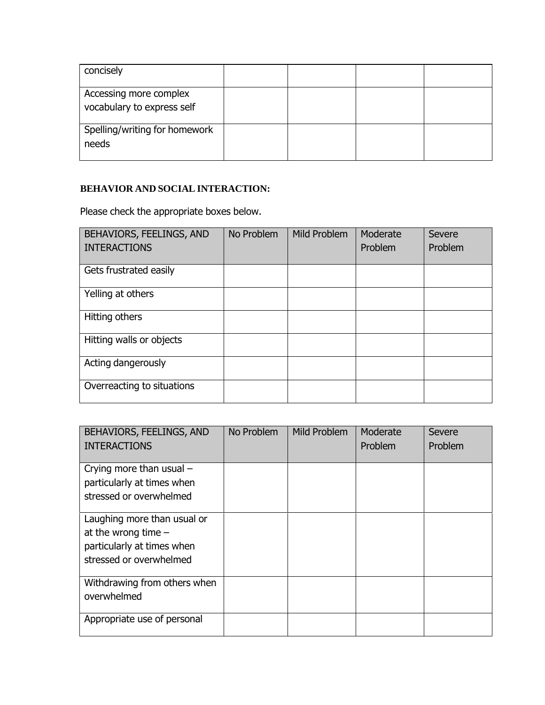| concisely                                            |  |  |
|------------------------------------------------------|--|--|
| Accessing more complex<br>vocabulary to express self |  |  |
| Spelling/writing for homework<br>needs               |  |  |

#### **BEHAVIOR AND SOCIAL INTERACTION:**

| BEHAVIORS, FEELINGS, AND   | No Problem | Mild Problem | Moderate | Severe  |
|----------------------------|------------|--------------|----------|---------|
| <b>INTERACTIONS</b>        |            |              | Problem  | Problem |
| Gets frustrated easily     |            |              |          |         |
| Yelling at others          |            |              |          |         |
| Hitting others             |            |              |          |         |
| Hitting walls or objects   |            |              |          |         |
| Acting dangerously         |            |              |          |         |
| Overreacting to situations |            |              |          |         |

| BEHAVIORS, FEELINGS, AND     | No Problem | Mild Problem | Moderate | Severe  |
|------------------------------|------------|--------------|----------|---------|
| <b>INTERACTIONS</b>          |            |              | Problem  | Problem |
|                              |            |              |          |         |
| Crying more than usual $-$   |            |              |          |         |
| particularly at times when   |            |              |          |         |
| stressed or overwhelmed      |            |              |          |         |
|                              |            |              |          |         |
| Laughing more than usual or  |            |              |          |         |
| at the wrong time $-$        |            |              |          |         |
| particularly at times when   |            |              |          |         |
| stressed or overwhelmed      |            |              |          |         |
|                              |            |              |          |         |
| Withdrawing from others when |            |              |          |         |
| overwhelmed                  |            |              |          |         |
|                              |            |              |          |         |
| Appropriate use of personal  |            |              |          |         |
|                              |            |              |          |         |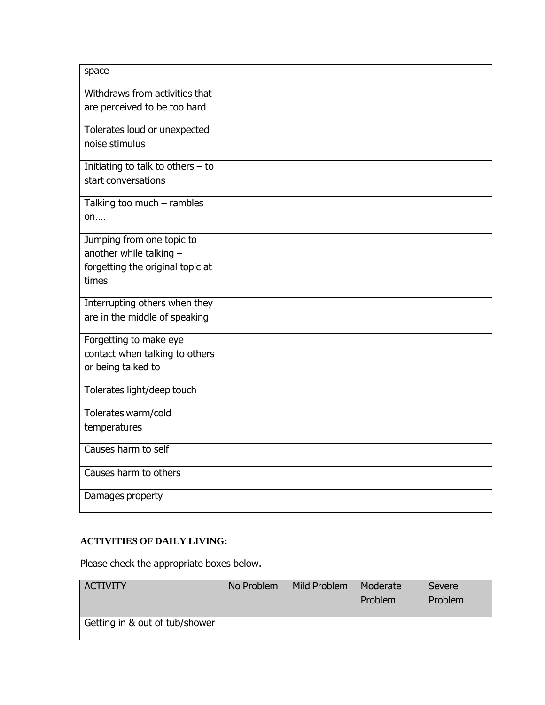| space                               |  |  |
|-------------------------------------|--|--|
| Withdraws from activities that      |  |  |
| are perceived to be too hard        |  |  |
| Tolerates loud or unexpected        |  |  |
| noise stimulus                      |  |  |
| Initiating to talk to others $-$ to |  |  |
| start conversations                 |  |  |
| Talking too much $-$ rambles        |  |  |
| on                                  |  |  |
| Jumping from one topic to           |  |  |
| another while talking -             |  |  |
| forgetting the original topic at    |  |  |
| times                               |  |  |
| Interrupting others when they       |  |  |
| are in the middle of speaking       |  |  |
| Forgetting to make eye              |  |  |
| contact when talking to others      |  |  |
| or being talked to                  |  |  |
| Tolerates light/deep touch          |  |  |
| Tolerates warm/cold                 |  |  |
| temperatures                        |  |  |
| Causes harm to self                 |  |  |
| Causes harm to others               |  |  |
| Damages property                    |  |  |

# **ACTIVITIES OF DAILY LIVING:**

| <b>ACTIVITY</b>                | No Problem | Mild Problem | Moderate<br>Problem | Severe<br>Problem |
|--------------------------------|------------|--------------|---------------------|-------------------|
| Getting in & out of tub/shower |            |              |                     |                   |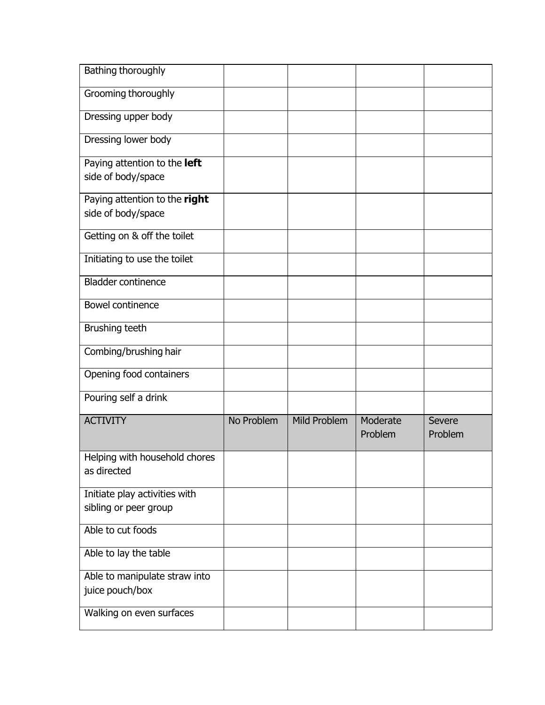| Bathing thoroughly                                     |            |                     |                     |                   |
|--------------------------------------------------------|------------|---------------------|---------------------|-------------------|
| Grooming thoroughly                                    |            |                     |                     |                   |
| Dressing upper body                                    |            |                     |                     |                   |
| Dressing lower body                                    |            |                     |                     |                   |
| Paying attention to the left<br>side of body/space     |            |                     |                     |                   |
|                                                        |            |                     |                     |                   |
| Paying attention to the right<br>side of body/space    |            |                     |                     |                   |
| Getting on & off the toilet                            |            |                     |                     |                   |
| Initiating to use the toilet                           |            |                     |                     |                   |
|                                                        |            |                     |                     |                   |
| <b>Bladder continence</b>                              |            |                     |                     |                   |
| <b>Bowel continence</b>                                |            |                     |                     |                   |
| Brushing teeth                                         |            |                     |                     |                   |
| Combing/brushing hair                                  |            |                     |                     |                   |
| Opening food containers                                |            |                     |                     |                   |
| Pouring self a drink                                   |            |                     |                     |                   |
| <b>ACTIVITY</b>                                        | No Problem | <b>Mild Problem</b> | Moderate<br>Problem | Severe<br>Problem |
| Helping with household chores                          |            |                     |                     |                   |
| as directed                                            |            |                     |                     |                   |
| Initiate play activities with<br>sibling or peer group |            |                     |                     |                   |
| Able to cut foods                                      |            |                     |                     |                   |
|                                                        |            |                     |                     |                   |
| Able to lay the table                                  |            |                     |                     |                   |
| Able to manipulate straw into                          |            |                     |                     |                   |
| juice pouch/box                                        |            |                     |                     |                   |
| Walking on even surfaces                               |            |                     |                     |                   |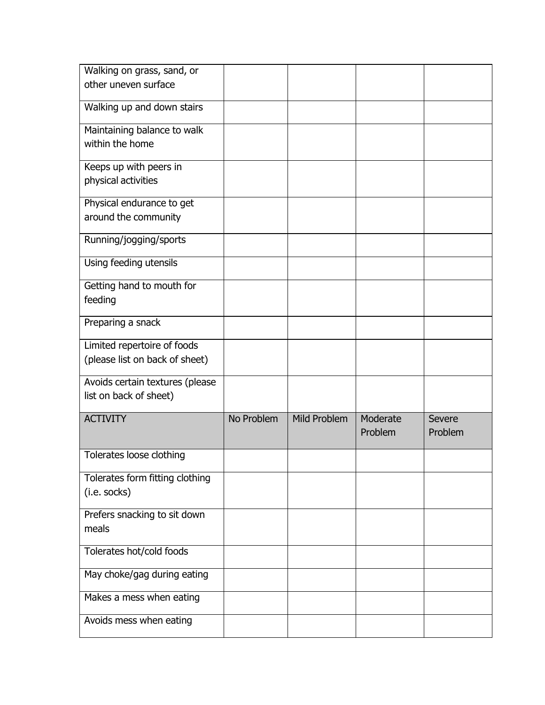| Walking on grass, sand, or      |            |                     |                     |                   |
|---------------------------------|------------|---------------------|---------------------|-------------------|
| other uneven surface            |            |                     |                     |                   |
| Walking up and down stairs      |            |                     |                     |                   |
| Maintaining balance to walk     |            |                     |                     |                   |
| within the home                 |            |                     |                     |                   |
| Keeps up with peers in          |            |                     |                     |                   |
| physical activities             |            |                     |                     |                   |
| Physical endurance to get       |            |                     |                     |                   |
| around the community            |            |                     |                     |                   |
| Running/jogging/sports          |            |                     |                     |                   |
| Using feeding utensils          |            |                     |                     |                   |
| Getting hand to mouth for       |            |                     |                     |                   |
| feeding                         |            |                     |                     |                   |
| Preparing a snack               |            |                     |                     |                   |
| Limited repertoire of foods     |            |                     |                     |                   |
| (please list on back of sheet)  |            |                     |                     |                   |
| Avoids certain textures (please |            |                     |                     |                   |
| list on back of sheet)          |            |                     |                     |                   |
| <b>ACTIVITY</b>                 | No Problem | <b>Mild Problem</b> | Moderate<br>Problem | Severe<br>Problem |
| Tolerates loose clothing        |            |                     |                     |                   |
| Tolerates form fitting clothing |            |                     |                     |                   |
| (i.e. socks)                    |            |                     |                     |                   |
| Prefers snacking to sit down    |            |                     |                     |                   |
| meals                           |            |                     |                     |                   |
| Tolerates hot/cold foods        |            |                     |                     |                   |
| May choke/gag during eating     |            |                     |                     |                   |
| Makes a mess when eating        |            |                     |                     |                   |
| Avoids mess when eating         |            |                     |                     |                   |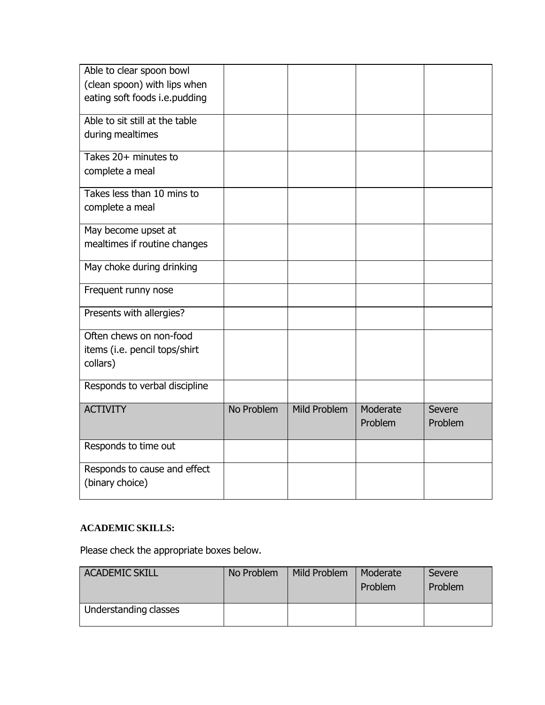| Able to clear spoon bowl<br>(clean spoon) with lips when |            |                     |                     |                   |
|----------------------------------------------------------|------------|---------------------|---------------------|-------------------|
| eating soft foods i.e.pudding                            |            |                     |                     |                   |
| Able to sit still at the table                           |            |                     |                     |                   |
| during mealtimes                                         |            |                     |                     |                   |
| Takes 20+ minutes to                                     |            |                     |                     |                   |
| complete a meal                                          |            |                     |                     |                   |
| Takes less than 10 mins to                               |            |                     |                     |                   |
| complete a meal                                          |            |                     |                     |                   |
| May become upset at                                      |            |                     |                     |                   |
| mealtimes if routine changes                             |            |                     |                     |                   |
| May choke during drinking                                |            |                     |                     |                   |
| Frequent runny nose                                      |            |                     |                     |                   |
| Presents with allergies?                                 |            |                     |                     |                   |
| Often chews on non-food                                  |            |                     |                     |                   |
| items (i.e. pencil tops/shirt                            |            |                     |                     |                   |
| collars)                                                 |            |                     |                     |                   |
| Responds to verbal discipline                            |            |                     |                     |                   |
| <b>ACTIVITY</b>                                          | No Problem | <b>Mild Problem</b> | Moderate<br>Problem | Severe<br>Problem |
| Responds to time out                                     |            |                     |                     |                   |
| Responds to cause and effect                             |            |                     |                     |                   |
| (binary choice)                                          |            |                     |                     |                   |

#### **ACADEMIC SKILLS:**

| ACADEMIC SKILL        | No Problem | Mild Problem | Moderate<br>Problem | Severe<br>Problem |
|-----------------------|------------|--------------|---------------------|-------------------|
| Understanding classes |            |              |                     |                   |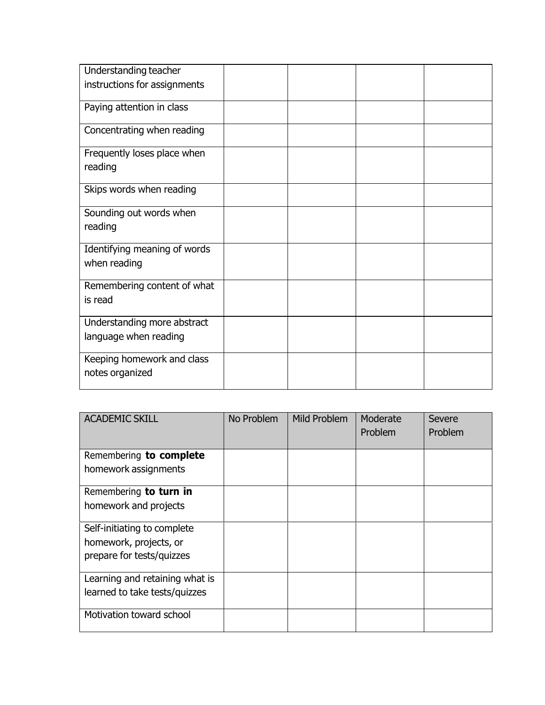| Understanding teacher        |  |  |
|------------------------------|--|--|
| instructions for assignments |  |  |
|                              |  |  |
| Paying attention in class    |  |  |
|                              |  |  |
| Concentrating when reading   |  |  |
|                              |  |  |
| Frequently loses place when  |  |  |
| reading                      |  |  |
|                              |  |  |
| Skips words when reading     |  |  |
|                              |  |  |
| Sounding out words when      |  |  |
| reading                      |  |  |
|                              |  |  |
| Identifying meaning of words |  |  |
| when reading                 |  |  |
|                              |  |  |
| Remembering content of what  |  |  |
| is read                      |  |  |
|                              |  |  |
| Understanding more abstract  |  |  |
| language when reading        |  |  |
|                              |  |  |
| Keeping homework and class   |  |  |
| notes organized              |  |  |
|                              |  |  |

| <b>ACADEMIC SKILL</b>          | No Problem | Mild Problem | Moderate<br>Problem | Severe<br>Problem |
|--------------------------------|------------|--------------|---------------------|-------------------|
| Remembering to complete        |            |              |                     |                   |
| homework assignments           |            |              |                     |                   |
| Remembering to turn in         |            |              |                     |                   |
| homework and projects          |            |              |                     |                   |
| Self-initiating to complete    |            |              |                     |                   |
| homework, projects, or         |            |              |                     |                   |
| prepare for tests/quizzes      |            |              |                     |                   |
| Learning and retaining what is |            |              |                     |                   |
| learned to take tests/quizzes  |            |              |                     |                   |
| Motivation toward school       |            |              |                     |                   |